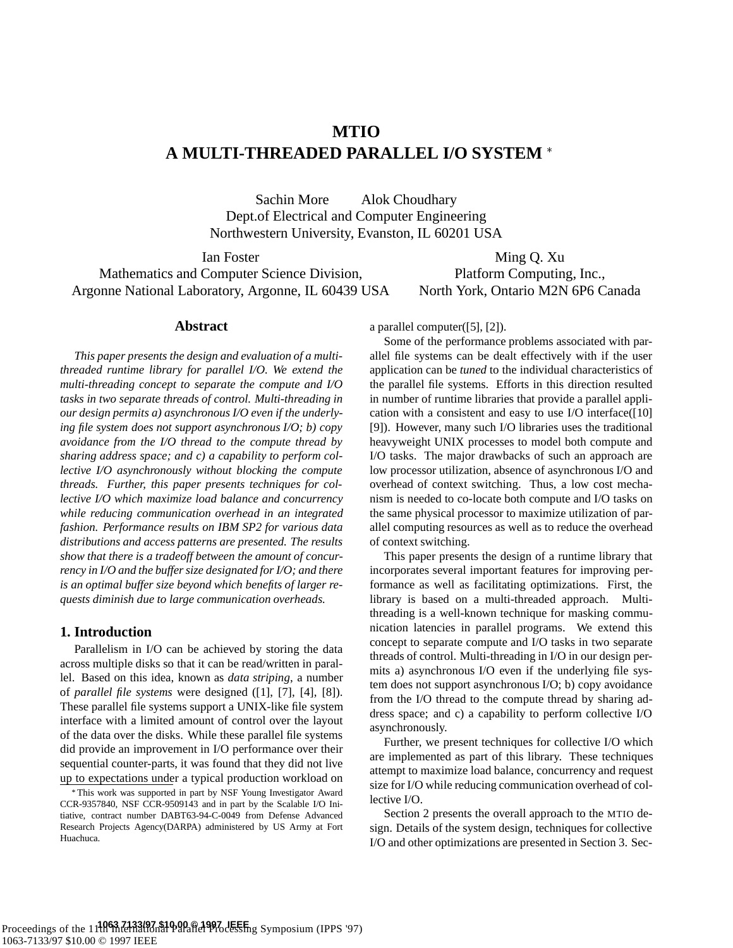# **MTIO A MULTI-THREADED PARALLEL I/O SYSTEM**

Sachin More Alok Choudhary Dept.of Electrical and Computer Engineering Northwestern University, Evanston, IL 60201 USA

Ian Foster Mathematics and Computer Science Division, Argonne National Laboratory, Argonne, IL 60439 USA

Ming Q. Xu Platform Computing, Inc., North York, Ontario M2N 6P6 Canada

### **Abstract**

*This paper presents the design and evaluation of a multithreaded runtime library for parallel I/O. We extend the multi-threading concept to separate the compute and I/O tasks in two separate threads of control. Multi-threading in our design permits a) asynchronous I/O even if the underlying file system does not support asynchronous I/O; b) copy avoidance from the I/O thread to the compute thread by sharing address space; and c) a capability to perform collective I/O asynchronously without blocking the compute threads. Further, this paper presents techniques for collective I/O which maximize load balance and concurrency while reducing communication overhead in an integrated fashion. Performance results on IBM SP2 for various data distributions and access patterns are presented. The results show that there is a tradeoff between the amount of concurrency in I/O and the buffer size designated for I/O; and there is an optimal buffer size beyond which benefits of larger requests diminish due to large communication overheads.*

## **1. Introduction**

Parallelism in I/O can be achieved by storing the data across multiple disks so that it can be read/written in parallel. Based on this idea, known as *data striping*, a number of *parallel file systems* were designed ([1], [7], [4], [8]). These parallel file systems support a UNIX-like file system interface with a limited amount of control over the layout of the data over the disks. While these parallel file systems did provide an improvement in I/O performance over their sequential counter-parts, it was found that they did not live up to expectations under a typical production workload on a parallel computer([5], [2]).

Some of the performance problems associated with parallel file systems can be dealt effectively with if the user application can be *tuned* to the individual characteristics of the parallel file systems. Efforts in this direction resulted in number of runtime libraries that provide a parallel application with a consistent and easy to use I/O interface([10] [9]). However, many such I/O libraries uses the traditional heavyweight UNIX processes to model both compute and I/O tasks. The major drawbacks of such an approach are low processor utilization, absence of asynchronous I/O and overhead of context switching. Thus, a low cost mechanism is needed to co-locate both compute and I/O tasks on the same physical processor to maximize utilization of parallel computing resources as well as to reduce the overhead of context switching.

This paper presents the design of a runtime library that incorporates several important features for improving performance as well as facilitating optimizations. First, the library is based on a multi-threaded approach. Multithreading is a well-known technique for masking communication latencies in parallel programs. We extend this concept to separate compute and I/O tasks in two separate threads of control. Multi-threading in I/O in our design permits a) asynchronous I/O even if the underlying file system does not support asynchronous I/O; b) copy avoidance from the I/O thread to the compute thread by sharing address space; and c) a capability to perform collective I/O asynchronously.

Further, we present techniques for collective I/O which are implemented as part of this library. These techniques attempt to maximize load balance, concurrency and request size for I/O while reducing communication overhead of collective I/O.

Section 2 presents the overall approach to the MTIO design. Details of the system design, techniques for collective I/O and other optimizations are presented in Section 3. Sec-

This work was supported in part by NSF Young Investigator Award CCR-9357840, NSF CCR-9509143 and in part by the Scalable I/O Initiative, contract number DABT63-94-C-0049 from Defense Advanced Research Projects Agency(DARPA) administered by US Army at Fort Huachuca.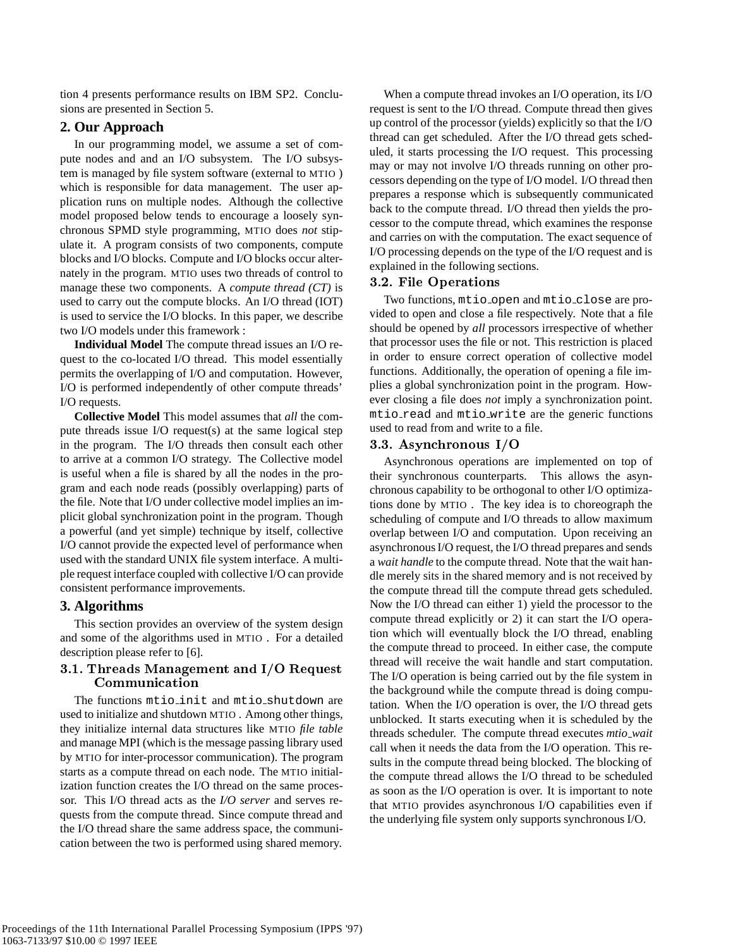tion 4 presents performance results on IBM SP2. Conclusions are presented in Section 5.

## **2. Our Approach**

In our programming model, we assume a set of compute nodes and and an I/O subsystem. The I/O subsystem is managed by file system software (external to MTIO ) which is responsible for data management. The user application runs on multiple nodes. Although the collective model proposed below tends to encourage a loosely synchronous SPMD style programming, MTIO does *not* stipulate it. A program consists of two components, compute blocks and I/O blocks. Compute and I/O blocks occur alternately in the program. MTIO uses two threads of control to manage these two components. A *compute thread (CT)* is used to carry out the compute blocks. An I/O thread (IOT) is used to service the I/O blocks. In this paper, we describe two I/O models under this framework :

**Individual Model** The compute thread issues an I/O request to the co-located I/O thread. This model essentially permits the overlapping of I/O and computation. However, I/O is performed independently of other compute threads' I/O requests.

**Collective Model** This model assumes that *all* the compute threads issue I/O request(s) at the same logical step in the program. The I/O threads then consult each other to arrive at a common I/O strategy. The Collective model is useful when a file is shared by all the nodes in the program and each node reads (possibly overlapping) parts of the file. Note that I/O under collective model implies an implicit global synchronization point in the program. Though a powerful (and yet simple) technique by itself, collective I/O cannot provide the expected level of performance when used with the standard UNIX file system interface. A multiple request interface coupled with collective I/O can provide consistent performance improvements.

# **3. Algorithms**

This section provides an overview of the system design and some of the algorithms used in MTIO . For a detailed description please refer to [6].

## 3.1. Threads Management and I/O Request Communication

The functions mtio\_init and mtio\_shutdown are used to initialize and shutdown MTIO . Among other things, they initialize internal data structures like MTIO *file table* and manage MPI (which is the message passing library used by MTIO for inter-processor communication). The program starts as a compute thread on each node. The MTIO initialization function creates the I/O thread on the same processor. This I/O thread acts as the *I/O server* and serves requests from the compute thread. Since compute thread and the I/O thread share the same address space, the communication between the two is performed using shared memory.

When a compute thread invokes an I/O operation, its I/O request is sent to the I/O thread. Compute thread then gives up control of the processor (yields) explicitly so that the I/O thread can get scheduled. After the I/O thread gets scheduled, it starts processing the I/O request. This processing may or may not involve I/O threads running on other processors depending on the type of I/O model. I/O thread then prepares a response which is subsequently communicated back to the compute thread. I/O thread then yields the processor to the compute thread, which examines the response and carries on with the computation. The exact sequence of I/O processing depends on the type of the I/O request and is explained in the following sections.

## 3.2. File Operations

Two functions, mtio open and mtio close are provided to open and close a file respectively. Note that a file should be opened by *all* processors irrespective of whether that processor uses the file or not. This restriction is placed in order to ensure correct operation of collective model functions. Additionally, the operation of opening a file implies a global synchronization point in the program. However closing a file does *not* imply a synchronization point. mtio read and mtio write are the generic functions used to read from and write to a file.

## 3.3. Asynchronous I/O

Asynchronous operations are implemented on top of their synchronous counterparts. This allows the asynchronous capability to be orthogonal to other I/O optimizations done by MTIO . The key idea is to choreograph the scheduling of compute and I/O threads to allow maximum overlap between I/O and computation. Upon receiving an asynchronous I/O request, the I/O thread prepares and sends a *wait handle* to the compute thread. Note that the wait handle merely sits in the shared memory and is not received by the compute thread till the compute thread gets scheduled. Now the I/O thread can either 1) yield the processor to the compute thread explicitly or 2) it can start the I/O operation which will eventually block the I/O thread, enabling the compute thread to proceed. In either case, the compute thread will receive the wait handle and start computation. The I/O operation is being carried out by the file system in the background while the compute thread is doing computation. When the I/O operation is over, the I/O thread gets unblocked. It starts executing when it is scheduled by the threads scheduler. The compute thread executes *mtio wait* call when it needs the data from the I/O operation. This results in the compute thread being blocked. The blocking of the compute thread allows the I/O thread to be scheduled as soon as the I/O operation is over. It is important to note that MTIO provides asynchronous I/O capabilities even if the underlying file system only supports synchronous I/O.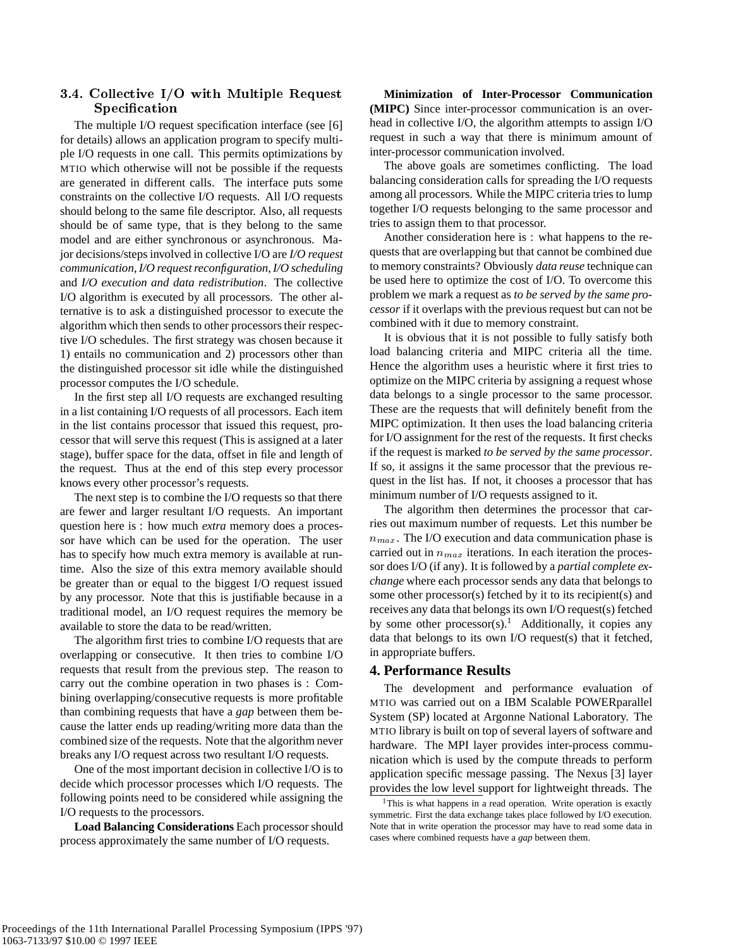## 3.4. Collective I/O with Multiple Request **Specification**

The multiple I/O request specification interface (see [6] for details) allows an application program to specify multiple I/O requests in one call. This permits optimizations by MTIO which otherwise will not be possible if the requests are generated in different calls. The interface puts some constraints on the collective I/O requests. All I/O requests should belong to the same file descriptor. Also, all requests should be of same type, that is they belong to the same model and are either synchronous or asynchronous. Major decisions/steps involved in collective I/O are *I/O request communication*,*I/O request reconfiguration*,*I/O scheduling* and *I/O execution and data redistribution*. The collective I/O algorithm is executed by all processors. The other alternative is to ask a distinguished processor to execute the algorithm which then sends to other processors their respective I/O schedules. The first strategy was chosen because it 1) entails no communication and 2) processors other than the distinguished processor sit idle while the distinguished processor computes the I/O schedule.

In the first step all I/O requests are exchanged resulting in a list containing I/O requests of all processors. Each item in the list contains processor that issued this request, processor that will serve this request (This is assigned at a later stage), buffer space for the data, offset in file and length of the request. Thus at the end of this step every processor knows every other processor's requests.

The next step is to combine the I/O requests so that there are fewer and larger resultant I/O requests. An important question here is : how much *extra* memory does a processor have which can be used for the operation. The user has to specify how much extra memory is available at runtime. Also the size of this extra memory available should be greater than or equal to the biggest I/O request issued by any processor. Note that this is justifiable because in a traditional model, an I/O request requires the memory be available to store the data to be read/written.

The algorithm first tries to combine I/O requests that are overlapping or consecutive. It then tries to combine I/O requests that result from the previous step. The reason to carry out the combine operation in two phases is : Combining overlapping/consecutive requests is more profitable than combining requests that have a *gap* between them because the latter ends up reading/writing more data than the combined size of the requests. Note that the algorithm never breaks any I/O request across two resultant I/O requests.

One of the most important decision in collective I/O is to decide which processor processes which I/O requests. The following points need to be considered while assigning the I/O requests to the processors.

**Load Balancing Considerations** Each processor should process approximately the same number of I/O requests.

**Minimization of Inter-Processor Communication (MIPC)** Since inter-processor communication is an overhead in collective I/O, the algorithm attempts to assign I/O request in such a way that there is minimum amount of inter-processor communication involved.

The above goals are sometimes conflicting. The load balancing consideration calls for spreading the I/O requests among all processors. While the MIPC criteria tries to lump together I/O requests belonging to the same processor and tries to assign them to that processor.

Another consideration here is : what happens to the requests that are overlapping but that cannot be combined due to memory constraints? Obviously *data reuse* technique can be used here to optimize the cost of I/O. To overcome this problem we mark a request as *to be served by the same processor* if it overlaps with the previous request but can not be combined with it due to memory constraint.

It is obvious that it is not possible to fully satisfy both load balancing criteria and MIPC criteria all the time. Hence the algorithm uses a heuristic where it first tries to optimize on the MIPC criteria by assigning a request whose data belongs to a single processor to the same processor. These are the requests that will definitely benefit from the MIPC optimization. It then uses the load balancing criteria for I/O assignment for the rest of the requests. It first checks if the request is marked *to be served by the same processor*. If so, it assigns it the same processor that the previous request in the list has. If not, it chooses a processor that has minimum number of I/O requests assigned to it.

The algorithm then determines the processor that carries out maximum number of requests. Let this number be  $n_{max}$ . The I/O execution and data communication phase is carried out in  $n_{max}$  iterations. In each iteration the processor does I/O (if any). It is followed by a *partial complete exchange* where each processor sends any data that belongs to some other processor(s) fetched by it to its recipient(s) and receives any data that belongs its own I/O request(s) fetched by some other processor(s).<sup>1</sup> Additionally, it copies any data that belongs to its own I/O request(s) that it fetched, in appropriate buffers.

### **4. Performance Results**

The development and performance evaluation of MTIO was carried out on a IBM Scalable POWERparallel System (SP) located at Argonne National Laboratory. The MTIO library is built on top of several layers of software and hardware. The MPI layer provides inter-process communication which is used by the compute threads to perform application specific message passing. The Nexus [3] layer provides the low level support for lightweight threads. The

<sup>&</sup>lt;sup>1</sup>This is what happens in a read operation. Write operation is exactly symmetric. First the data exchange takes place followed by I/O execution. Note that in write operation the processor may have to read some data in cases where combined requests have a *gap* between them.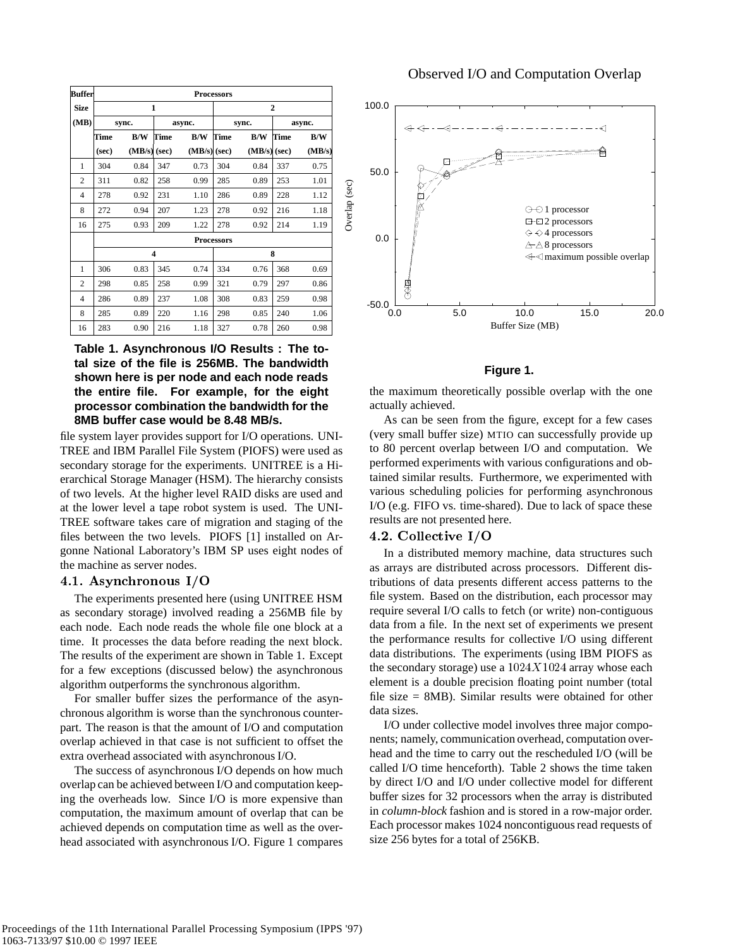| <b>Buffer</b>  | <b>Processors</b> |            |        |                |                |        |        |        |  |  |
|----------------|-------------------|------------|--------|----------------|----------------|--------|--------|--------|--|--|
| <b>Size</b>    |                   |            | 1      |                | $\overline{2}$ |        |        |        |  |  |
| (MB)           | svnc.             |            | async. |                |                | sync.  | async. |        |  |  |
|                | Time              | <b>B/W</b> | Time   | B/W            | Time           | B/W    | Time   | B/W    |  |  |
|                | (sec)             | (MB/s)     | (sec)  | $(MB/s)$ (sec) |                | (MB/s) | (sec)  | (MB/s) |  |  |
| 1              | 304               | 0.84       | 347    | 0.73           | 304            | 0.84   | 337    | 0.75   |  |  |
| $\overline{c}$ | 311               | 0.82       | 258    | 0.99           | 285            | 0.89   | 253    | 1.01   |  |  |
| 4              | 278               | 0.92       | 231    | 1.10           | 286            | 0.89   | 228    | 1.12   |  |  |
| 8              | 272               | 0.94       | 207    | 1.23           | 278            | 0.92   | 216    | 1.18   |  |  |
| 16             | 275               | 0.93       | 209    | 1.22           | 278            | 0.92   | 214    | 1.19   |  |  |
|                | <b>Processors</b> |            |        |                |                |        |        |        |  |  |
|                |                   |            | 4      |                | 8              |        |        |        |  |  |
| 1              | 306               | 0.83       | 345    | 0.74           | 334            | 0.76   | 368    | 0.69   |  |  |
| $\overline{c}$ | 298               | 0.85       | 258    | 0.99           | 321            | 0.79   | 297    | 0.86   |  |  |
| 4              | 286               | 0.89       | 237    | 1.08           | 308            | 0.83   | 259    | 0.98   |  |  |
| 8              | 285               | 0.89       | 220    | 1.16           | 298            | 0.85   | 240    | 1.06   |  |  |
| 16             | 283               | 0.90       | 216    | 1.18           | 327            | 0.78   | 260    | 0.98   |  |  |

## **Table 1. Asynchronous I/O Results : The total size of the file is 256MB. The bandwidth shown here is per node and each node reads the entire file. For example, for the eight processor combination the bandwidth for the 8MB buffer case would be 8.48 MB/s.**

file system layer provides support for I/O operations. UNI-TREE and IBM Parallel File System (PIOFS) were used as secondary storage for the experiments. UNITREE is a Hierarchical Storage Manager (HSM). The hierarchy consists of two levels. At the higher level RAID disks are used and at the lower level a tape robot system is used. The UNI-TREE software takes care of migration and staging of the files between the two levels. PIOFS [1] installed on Argonne National Laboratory's IBM SP uses eight nodes of the machine as server nodes.

#### 4.1. Asynchronous I/O

The experiments presented here (using UNITREE HSM as secondary storage) involved reading a 256MB file by each node. Each node reads the whole file one block at a time. It processes the data before reading the next block. The results of the experiment are shown in Table 1. Except for a few exceptions (discussed below) the asynchronous algorithm outperforms the synchronous algorithm.

For smaller buffer sizes the performance of the asynchronous algorithm is worse than the synchronous counterpart. The reason is that the amount of I/O and computation overlap achieved in that case is not sufficient to offset the extra overhead associated with asynchronous I/O.

The success of asynchronous I/O depends on how much overlap can be achieved between I/O and computation keeping the overheads low. Since I/O is more expensive than computation, the maximum amount of overlap that can be achieved depends on computation time as well as the overhead associated with asynchronous I/O. Figure 1 compares



#### **Figure 1.**

the maximum theoretically possible overlap with the one actually achieved.

As can be seen from the figure, except for a few cases (very small buffer size) MTIO can successfully provide up to 80 percent overlap between I/O and computation. We performed experiments with various configurations and obtained similar results. Furthermore, we experimented with various scheduling policies for performing asynchronous I/O (e.g. FIFO vs. time-shared). Due to lack of space these results are not presented here.

#### 4.2. Collective I/O

In a distributed memory machine, data structures such as arrays are distributed across processors. Different distributions of data presents different access patterns to the file system. Based on the distribution, each processor may require several I/O calls to fetch (or write) non-contiguous data from a file. In the next set of experiments we present the performance results for collective I/O using different data distributions. The experiments (using IBM PIOFS as the secondary storage) use a  $1024X1024$  array whose each element is a double precision floating point number (total file size = 8MB). Similar results were obtained for other data sizes.

I/O under collective model involves three major components; namely, communication overhead, computation overhead and the time to carry out the rescheduled I/O (will be called I/O time henceforth). Table 2 shows the time taken by direct I/O and I/O under collective model for different buffer sizes for 32 processors when the array is distributed in *column-block* fashion and is stored in a row-major order. Each processor makes 1024 noncontiguous read requests of size 256 bytes for a total of 256KB.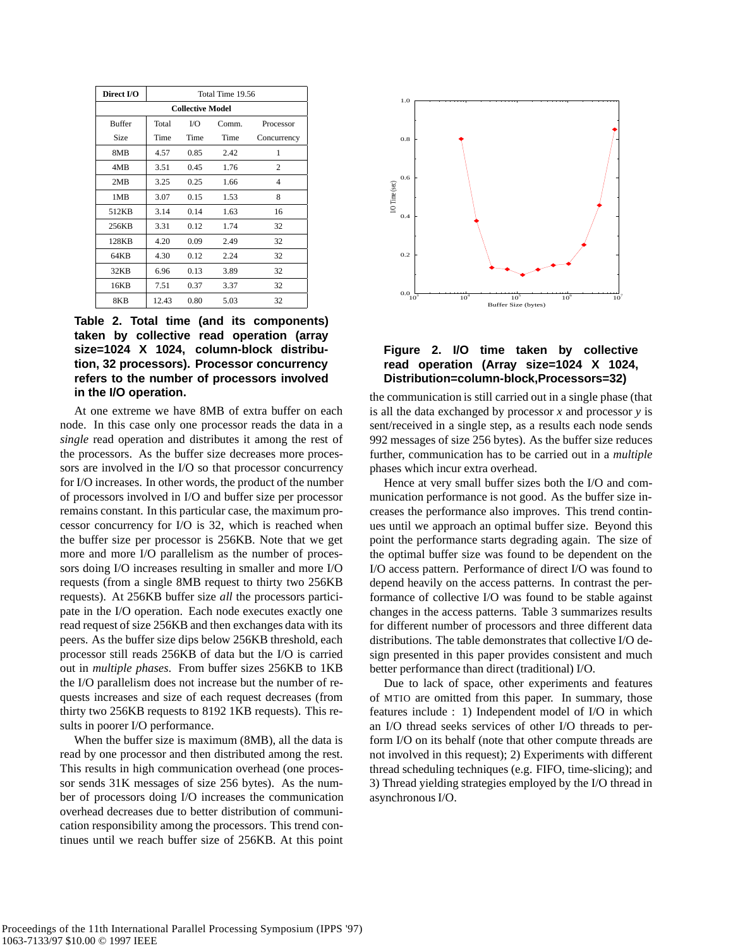| Direct I/O              | Total Time 19.56 |      |       |             |  |  |  |  |  |
|-------------------------|------------------|------|-------|-------------|--|--|--|--|--|
| <b>Collective Model</b> |                  |      |       |             |  |  |  |  |  |
| <b>Buffer</b>           | Total            | I/O  | Comm. | Processor   |  |  |  |  |  |
| Size                    | Time             | Time | Time  | Concurrency |  |  |  |  |  |
| 8MB                     | 4.57             | 0.85 | 2.42  | 1           |  |  |  |  |  |
| 4MB                     | 3.51             | 0.45 | 1.76  | 2           |  |  |  |  |  |
| 2MB                     | 3.25             | 0.25 | 1.66  | 4           |  |  |  |  |  |
| 1MB                     | 3.07             | 0.15 | 1.53  | 8           |  |  |  |  |  |
| 512KB                   | 3.14             | 0.14 | 1.63  | 16          |  |  |  |  |  |
| 256KB                   | 3.31             | 0.12 | 1.74  | 32          |  |  |  |  |  |
| 128KB                   | 4.20             | 0.09 | 2.49  | 32          |  |  |  |  |  |
| 64KB                    | 4.30             | 0.12 | 2.24  | 32          |  |  |  |  |  |
| 32KB                    | 6.96             | 0.13 | 3.89  | 32          |  |  |  |  |  |
| 16KB                    | 7.51             | 0.37 | 3.37  | 32          |  |  |  |  |  |
| 8KB                     | 12.43            | 0.80 | 5.03  | 32          |  |  |  |  |  |

**Table 2. Total time (and its components) taken by collective read operation (array size=1024 X 1024, column-block distribution, 32 processors). Processor concurrency refers to the number of processors involved in the I/O operation.**

At one extreme we have 8MB of extra buffer on each node. In this case only one processor reads the data in a *single* read operation and distributes it among the rest of the processors. As the buffer size decreases more processors are involved in the I/O so that processor concurrency for I/O increases. In other words, the product of the number of processors involved in I/O and buffer size per processor remains constant. In this particular case, the maximum processor concurrency for I/O is 32, which is reached when the buffer size per processor is 256KB. Note that we get more and more I/O parallelism as the number of processors doing I/O increases resulting in smaller and more I/O requests (from a single 8MB request to thirty two 256KB requests). At 256KB buffer size *all* the processors participate in the I/O operation. Each node executes exactly one read request of size 256KB and then exchanges data with its peers. As the buffer size dips below 256KB threshold, each processor still reads 256KB of data but the I/O is carried out in *multiple phases*. From buffer sizes 256KB to 1KB the I/O parallelism does not increase but the number of requests increases and size of each request decreases (from thirty two 256KB requests to 8192 1KB requests). This results in poorer I/O performance.

When the buffer size is maximum (8MB), all the data is read by one processor and then distributed among the rest. This results in high communication overhead (one processor sends 31K messages of size 256 bytes). As the number of processors doing I/O increases the communication overhead decreases due to better distribution of communication responsibility among the processors. This trend continues until we reach buffer size of 256KB. At this point



## **Figure 2. I/O time taken by collective read operation (Array size=1024 X 1024, Distribution=column-block,Processors=32)**

the communication is still carried out in a single phase (that is all the data exchanged by processor *x* and processor *y* is sent/received in a single step, as a results each node sends 992 messages of size 256 bytes). As the buffer size reduces further, communication has to be carried out in a *multiple* phases which incur extra overhead.

Hence at very small buffer sizes both the I/O and communication performance is not good. As the buffer size increases the performance also improves. This trend continues until we approach an optimal buffer size. Beyond this point the performance starts degrading again. The size of the optimal buffer size was found to be dependent on the I/O access pattern. Performance of direct I/O was found to depend heavily on the access patterns. In contrast the performance of collective I/O was found to be stable against changes in the access patterns. Table 3 summarizes results for different number of processors and three different data distributions. The table demonstrates that collective I/O design presented in this paper provides consistent and much better performance than direct (traditional) I/O.

Due to lack of space, other experiments and features of MTIO are omitted from this paper. In summary, those features include : 1) Independent model of I/O in which an I/O thread seeks services of other I/O threads to perform I/O on its behalf (note that other compute threads are not involved in this request); 2) Experiments with different thread scheduling techniques (e.g. FIFO, time-slicing); and 3) Thread yielding strategies employed by the I/O thread in asynchronous I/O.